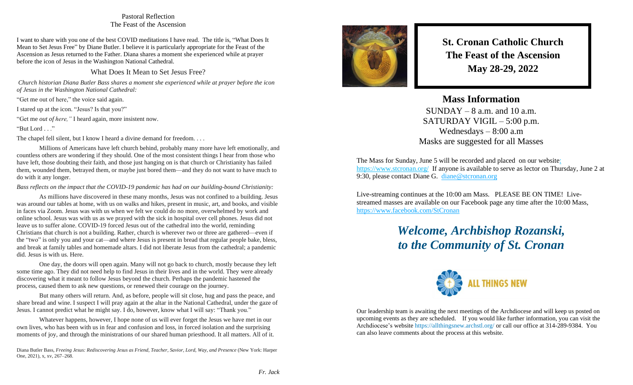## Pastoral Reflection The Feast of the Ascension

I want to share with you one of the best COVID meditations I have read. The title is, "What Does It Mean to Set Jesus Free" by Diane Butler. I believe it is particularly appropriate for the Feast of the Ascension as Jesus returned to the Father. Diana shares a moment she experienced while at prayer before the icon of Jesus in the Washington National Cathedral.

What Does It Mean to Set Jesus Free?

*Church historian Diana Butler Bass shares a moment she experienced while at prayer before the icon of Jesus in the Washington National Cathedral:*

"Get me out of here," the voice said again.

I stared up at the icon. "Jesus? Is that you?"

"Get me *out of here,"* I heard again, more insistent now.

"But Lord . . ."

The chapel fell silent, but I know I heard a divine demand for freedom...

Millions of Americans have left church behind, probably many more have left emotionally, and countless others are wondering if they should. One of the most consistent things I hear from those who have left, those doubting their faith, and those just hanging on is that church or Christianity has failed them, wounded them, betrayed them, or maybe just bored them—and they do not want to have much to do with it any longer.

*Bass reflects on the impact that the COVID-19 pandemic has had on our building-bound Christianity:*

As millions have discovered in these many months, Jesus was not confined to a building. Jesus was around our tables at home, with us on walks and hikes, present in music, art, and books, and visible in faces via Zoom. Jesus was with us when we felt we could do no more, overwhelmed by work and online school. Jesus was with us as we prayed with the sick in hospital over cell phones. Jesus did not leave us to suffer alone. COVID-19 forced Jesus out of the cathedral into the world, reminding Christians that church is not a building. Rather, church is wherever two or three are gathered—even if the "two" is only you and your cat—and where Jesus is present in bread that regular people bake, bless, and break at family tables and homemade altars. I did not liberate Jesus from the cathedral; a pandemic did. Jesus is with us. Here.

One day, the doors will open again. Many will not go back to church, mostly because they left some time ago. They did not need help to find Jesus in their lives and in the world. They were already discovering what it meant to follow Jesus beyond the church. Perhaps the pandemic hastened the process, caused them to ask new questions, or renewed their courage on the journey.

But many others will return. And, as before, people will sit close, hug and pass the peace, and share bread and wine. I suspect I will pray again at the altar in the National Cathedral, under the gaze of Jesus. I cannot predict what he might say. I do, however, know what I will say: "Thank you."

Whatever happens, however, I hope none of us will ever forget the Jesus we have met in our own lives, who has been with us in fear and confusion and loss, in forced isolation and the surprising moments of joy, and through the ministrations of our shared human priesthood. It all matters. All of it.

Diana Butler Bass, *Freeing Jesus: Rediscovering Jesus as Friend, Teacher, Savior, Lord, Way, and Presence* (New York: Harper One, 2021), x, xv, 267–268.



**St. Cronan Catholic Church The Feast of the Ascension May 28-29, 2022**

## **Mass Information**

 $SUNDAY - 8$  a.m. and 10 a.m. SATURDAY VIGIL – 5:00 p.m. Wednesdays – 8:00 a.m Masks are suggested for all Masses

The Mass for Sunday, June 5 will be recorded and placed on our websit[e:](https://d.docs.live.net/e2a01ffbd4eb3572/Documents/Monday%20Notes/:%20%20https:/www.stcronan.org/)  [https://www.stcronan.org/](https://d.docs.live.net/e2a01ffbd4eb3572/Documents/Monday%20Notes/:%20%20https:/www.stcronan.org/) If anyone is available to serve as lector on Thursday, June 2 at 9:30, please contact Diane G. [diane@stcronan.org](mailto:diane@stcronan.org)

Live-streaming continues at the 10:00 am Mass. PLEASE BE ON TIME! Livestreamed masses are available on our Facebook page any time after the 10:00 Mass, <https://www.facebook.com/StCronan>

## *Welcome, Archbishop Rozanski, to the Community of St. Cronan*



Our leadership team is awaiting the next meetings of the Archdiocese and will keep us posted on upcoming events as they are scheduled. If you would like further information, you can visit the Archdiocese's website <https://allthingsnew.archstl.org/> or call our office at 314-289-9384. You can also leave comments about the process at this website.